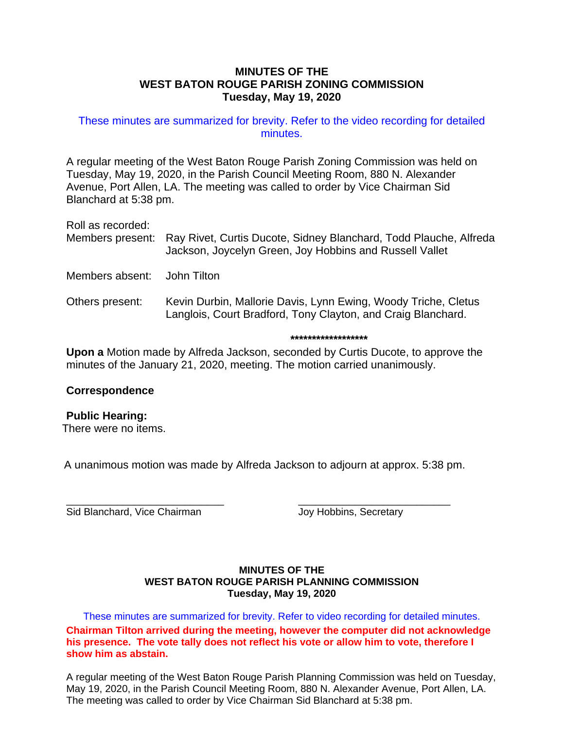## **MINUTES OF THE WEST BATON ROUGE PARISH ZONING COMMISSION Tuesday, May 19, 2020**

# These minutes are summarized for brevity. Refer to the video recording for detailed minutes.

A regular meeting of the West Baton Rouge Parish Zoning Commission was held on Tuesday, May 19, 2020, in the Parish Council Meeting Room, 880 N. Alexander Avenue, Port Allen, LA. The meeting was called to order by Vice Chairman Sid Blanchard at 5:38 pm.

Roll as recorded:

Members present: Ray Rivet, Curtis Ducote, Sidney Blanchard, Todd Plauche, Alfreda Jackson, Joycelyn Green, Joy Hobbins and Russell Vallet

Members absent: John Tilton

Others present: Kevin Durbin, Mallorie Davis, Lynn Ewing, Woody Triche, Cletus Langlois, Court Bradford, Tony Clayton, and Craig Blanchard.

**\*\*\*\*\*\*\*\*\*\*\*\*\*\*\*\*\*\***

**Upon a** Motion made by Alfreda Jackson, seconded by Curtis Ducote, to approve the minutes of the January 21, 2020, meeting. The motion carried unanimously.

# **Correspondence**

# **Public Hearing:**

There were no items.

A unanimous motion was made by Alfreda Jackson to adjourn at approx. 5:38 pm.

\_\_\_\_\_\_\_\_\_\_\_\_\_\_\_\_\_\_\_\_\_\_\_\_\_\_\_\_ \_\_\_\_\_\_\_\_\_\_\_\_\_\_\_\_\_\_\_\_\_\_\_\_\_\_\_ Sid Blanchard, Vice Chairman Joy Hobbins, Secretary

## **MINUTES OF THE WEST BATON ROUGE PARISH PLANNING COMMISSION Tuesday, May 19, 2020**

These minutes are summarized for brevity. Refer to video recording for detailed minutes. **Chairman Tilton arrived during the meeting, however the computer did not acknowledge his presence. The vote tally does not reflect his vote or allow him to vote, therefore I show him as abstain.**

A regular meeting of the West Baton Rouge Parish Planning Commission was held on Tuesday, May 19, 2020, in the Parish Council Meeting Room, 880 N. Alexander Avenue, Port Allen, LA. The meeting was called to order by Vice Chairman Sid Blanchard at 5:38 pm.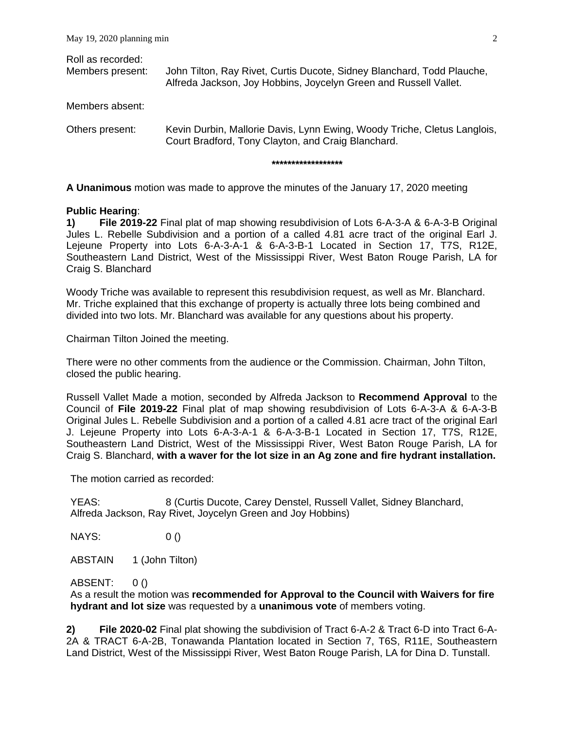| Roll as recorded:<br>Members present: | John Tilton, Ray Rivet, Curtis Ducote, Sidney Blanchard, Todd Plauche,<br>Alfreda Jackson, Joy Hobbins, Joycelyn Green and Russell Vallet.           |
|---------------------------------------|------------------------------------------------------------------------------------------------------------------------------------------------------|
| Members absent:                       |                                                                                                                                                      |
| Others present:                       | Kevin Durbin, Mallorie Davis, Lynn Ewing, Woody Triche, Cletus Langlois,<br>Court Bradford, Tony Clayton, and Craig Blanchard.<br>****************** |
|                                       |                                                                                                                                                      |

**A Unanimous** motion was made to approve the minutes of the January 17, 2020 meeting

#### **Public Hearing**:

**1) File 2019-22** Final plat of map showing resubdivision of Lots 6-A-3-A & 6-A-3-B Original Jules L. Rebelle Subdivision and a portion of a called 4.81 acre tract of the original Earl J. Lejeune Property into Lots 6-A-3-A-1 & 6-A-3-B-1 Located in Section 17, T7S, R12E, Southeastern Land District, West of the Mississippi River, West Baton Rouge Parish, LA for Craig S. Blanchard

Woody Triche was available to represent this resubdivision request, as well as Mr. Blanchard. Mr. Triche explained that this exchange of property is actually three lots being combined and divided into two lots. Mr. Blanchard was available for any questions about his property.

Chairman Tilton Joined the meeting.

There were no other comments from the audience or the Commission. Chairman, John Tilton, closed the public hearing.

Russell Vallet Made a motion, seconded by Alfreda Jackson to **Recommend Approval** to the Council of **File 2019-22** Final plat of map showing resubdivision of Lots 6-A-3-A & 6-A-3-B Original Jules L. Rebelle Subdivision and a portion of a called 4.81 acre tract of the original Earl J. Lejeune Property into Lots 6-A-3-A-1 & 6-A-3-B-1 Located in Section 17, T7S, R12E, Southeastern Land District, West of the Mississippi River, West Baton Rouge Parish, LA for Craig S. Blanchard, **with a waver for the lot size in an Ag zone and fire hydrant installation.**

The motion carried as recorded:

YEAS: 8 (Curtis Ducote, Carey Denstel, Russell Vallet, Sidney Blanchard, Alfreda Jackson, Ray Rivet, Joycelyn Green and Joy Hobbins)

NAYS: 0 ()

ABSTAIN 1 (John Tilton)

ABSENT: 0 ()

As a result the motion was **recommended for Approval to the Council with Waivers for fire hydrant and lot size** was requested by a **unanimous vote** of members voting.

**2) File 2020-02** Final plat showing the subdivision of Tract 6-A-2 & Tract 6-D into Tract 6-A-2A & TRACT 6-A-2B, Tonawanda Plantation located in Section 7, T6S, R11E, Southeastern Land District, West of the Mississippi River, West Baton Rouge Parish, LA for Dina D. Tunstall.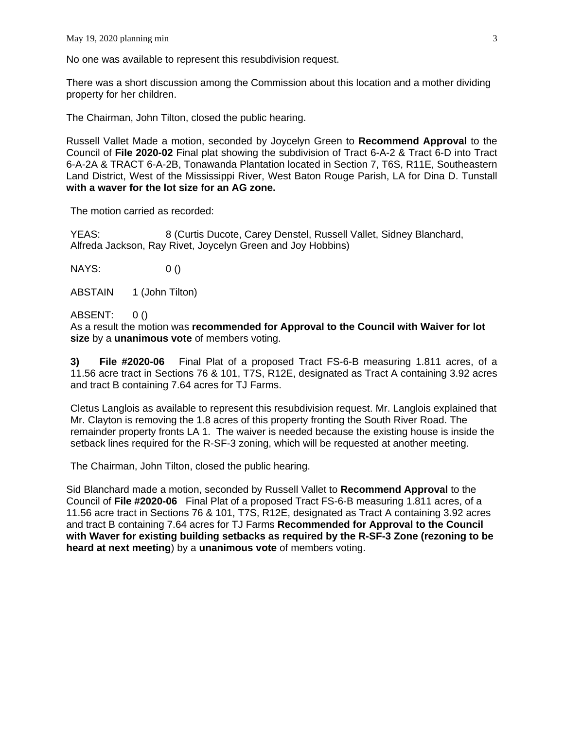No one was available to represent this resubdivision request.

There was a short discussion among the Commission about this location and a mother dividing property for her children.

The Chairman, John Tilton, closed the public hearing.

Russell Vallet Made a motion, seconded by Joycelyn Green to **Recommend Approval** to the Council of **File 2020-02** Final plat showing the subdivision of Tract 6-A-2 & Tract 6-D into Tract 6-A-2A & TRACT 6-A-2B, Tonawanda Plantation located in Section 7, T6S, R11E, Southeastern Land District, West of the Mississippi River, West Baton Rouge Parish, LA for Dina D. Tunstall **with a waver for the lot size for an AG zone.**

The motion carried as recorded:

YEAS: 8 (Curtis Ducote, Carey Denstel, Russell Vallet, Sidney Blanchard, Alfreda Jackson, Ray Rivet, Joycelyn Green and Joy Hobbins)

NAYS: 0 ()

ABSTAIN 1 (John Tilton)

ABSENT: 0 ()

As a result the motion was **recommended for Approval to the Council with Waiver for lot size** by a **unanimous vote** of members voting.

**3) File #2020-06** Final Plat of a proposed Tract FS-6-B measuring 1.811 acres, of a 11.56 acre tract in Sections 76 & 101, T7S, R12E, designated as Tract A containing 3.92 acres and tract B containing 7.64 acres for TJ Farms.

Cletus Langlois as available to represent this resubdivision request. Mr. Langlois explained that Mr. Clayton is removing the 1.8 acres of this property fronting the South River Road. The remainder property fronts LA 1. The waiver is needed because the existing house is inside the setback lines required for the R-SF-3 zoning, which will be requested at another meeting.

The Chairman, John Tilton, closed the public hearing.

Sid Blanchard made a motion, seconded by Russell Vallet to **Recommend Approval** to the Council of **File #2020-06** Final Plat of a proposed Tract FS-6-B measuring 1.811 acres, of a 11.56 acre tract in Sections 76 & 101, T7S, R12E, designated as Tract A containing 3.92 acres and tract B containing 7.64 acres for TJ Farms **Recommended for Approval to the Council with Waver for existing building setbacks as required by the R-SF-3 Zone (rezoning to be heard at next meeting**) by a **unanimous vote** of members voting.